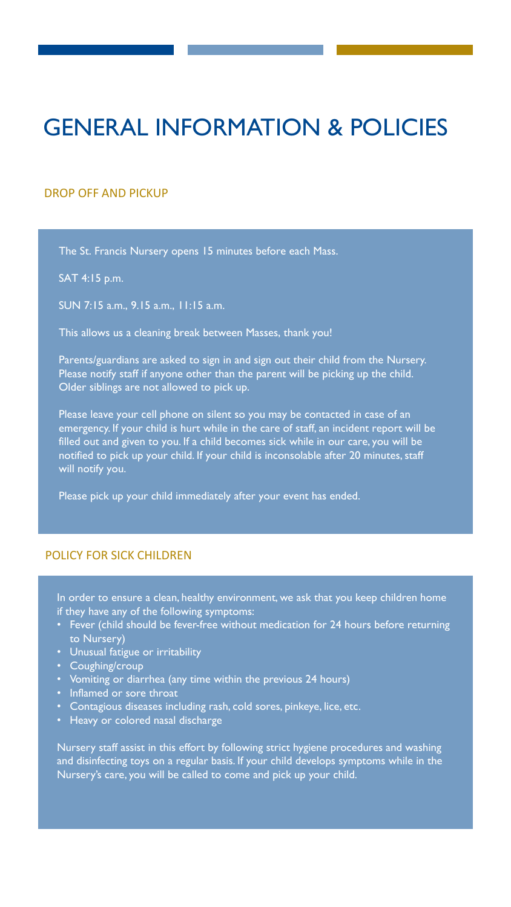# GENERAL INFORMATION & POLICIES

### DROP OFF AND PICKUP

The St. Francis Nursery opens 15 minutes before each Mass.

SAT 4:15 p.m.

SUN 7:15 a.m., 9.15 a.m., 11:15 a.m.

This allows us a cleaning break between Masses, thank you!

Parents/guardians are asked to sign in and sign out their child from the Nursery. Please notify staff if anyone other than the parent will be picking up the child. Older siblings are not allowed to pick up.

Please leave your cell phone on silent so you may be contacted in case of an emergency. If your child is hurt while in the care of staff, an incident report will be filled out and given to you. If a child becomes sick while in our care, you will be notified to pick up your child. If your child is inconsolable after 20 minutes, staff will notify you.

Please pick up your child immediately after your event has ended.

# POLICY FOR SICK CHILDREN

In order to ensure a clean, healthy environment, we ask that you keep children home if they have any of the following symptoms:

- Fever (child should be fever-free without medication for 24 hours before returning to Nursery)
- Unusual fatigue or irritability
- Coughing/croup
- Vomiting or diarrhea (any time within the previous 24 hours)
- Inflamed or sore throat
- Contagious diseases including rash, cold sores, pinkeye, lice, etc.
- Heavy or colored nasal discharge

Nursery staff assist in this effort by following strict hygiene procedures and washing and disinfecting toys on a regular basis. If your child develops symptoms while in the Nursery's care, you will be called to come and pick up your child.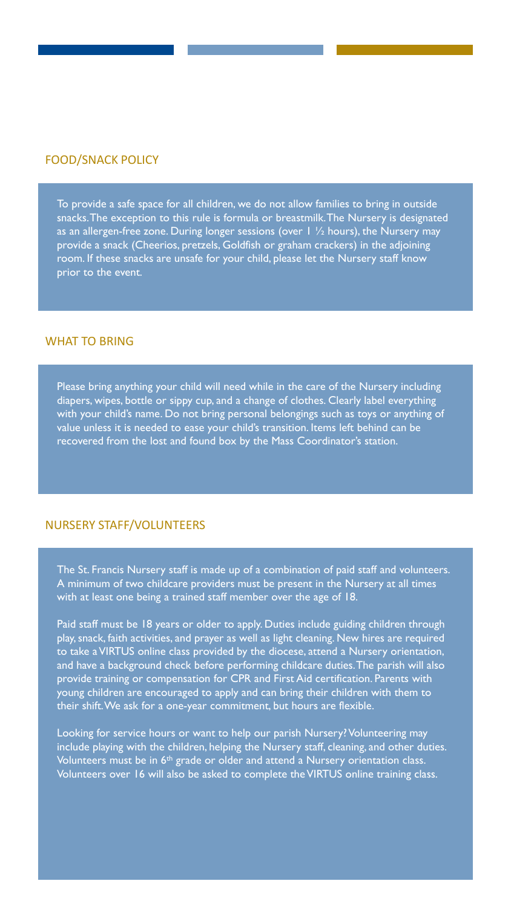#### FOOD/SNACK POLICY

To provide a safe space for all children, we do not allow families to bring in outside snacks. The exception to this rule is formula or breastmilk. The Nursery is designated as an allergen-free zone. During longer sessions (over  $1 \frac{1}{2}$  hours), the Nursery may provide a snack (Cheerios, pretzels, Goldfish or graham crackers) in the adjoining room. If these snacks are unsafe for your child, please let the Nursery staff know prior to the event.

#### WHAT TO BRING

Please bring anything your child will need while in the care of the Nursery including diapers, wipes, bottle or sippy cup, and a change of clothes. Clearly label everything with your child's name. Do not bring personal belongings such as toys or anything of value unless it is needed to ease your child's transition. Items left behind can be recovered from the lost and found box by the Mass Coordinator's station.

#### NURSERY STAFF/VOLUNTEERS

The St. Francis Nursery staff is made up of a combination of paid staff and volunteers. A minimum of two childcare providers must be present in the Nursery at all times with at least one being a trained staff member over the age of 18.

Paid staff must be 18 years or older to apply. Duties include guiding children through play, snack, faith activities, and prayer as well as light cleaning. New hires are required to take a VIRTUS online class provided by the diocese, attend a Nursery orientation, and have a background check before performing childcare duties. The parish will also provide training or compensation for CPR and First Aid certification. Parents with young children are encouraged to apply and can bring their children with them to their shift. We ask for a one-year commitment, but hours are flexible.

Looking for service hours or want to help our parish Nursery? Volunteering may include playing with the children, helping the Nursery staff, cleaning, and other duties. Volunteers must be in 6<sup>th</sup> grade or older and attend a Nursery orientation class. Volunteers over 16 will also be asked to complete the VIRTUS online training class.